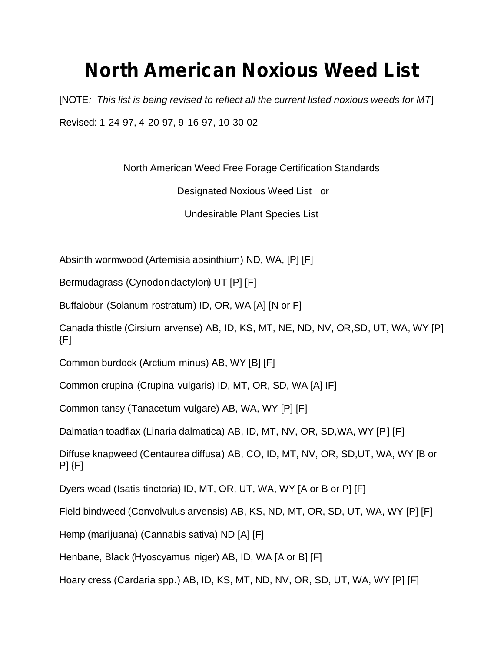## **North American Noxious Weed List**

[NOTE*: This list is being revised to reflect all the current listed noxious weeds for MT*] Revised: 1-24-97, 4-20-97, 9-16-97, 10-30-02

North American Weed Free Forage Certification Standards

Designated Noxious Weed List or

Undesirable Plant Species List

Absinth wormwood (Artemisia absinthium) ND, WA, [P] [F]

Bermudagrass (Cynodon dactylon) UT [P] [F]

Buffalobur (Solanum rostratum) ID, OR, WA [A] [N or F]

Canada thistle (Cirsium arvense) AB, ID, KS, MT, NE, ND, NV, OR,SD, UT, WA, WY [P]  ${F}$ 

Common burdock (Arctium minus) AB, WY [B] [F]

Common crupina (Crupina vulgaris) ID, MT, OR, SD, WA [A] IF]

Common tansy (Tanacetum vulgare) AB, WA, WY [P] [F]

Dalmatian toadflax (Linaria dalmatica) AB, ID, MT, NV, OR, SD,WA, WY [P] [F]

Diffuse knapweed (Centaurea diffusa) AB, CO, ID, MT, NV, OR, SD,UT, WA, WY [B or P] {F]

Dyers woad (Isatis tinctoria) ID, MT, OR, UT, WA, WY [A or B or P] [F]

Field bindweed (Convolvulus arvensis) AB, KS, ND, MT, OR, SD, UT, WA, WY [P] [F]

Hemp (marijuana) (Cannabis sativa) ND [A] [F]

Henbane, Black (Hyoscyamus niger) AB, ID, WA [A or B] [F]

Hoary cress (Cardaria spp.) AB, ID, KS, MT, ND, NV, OR, SD, UT, WA, WY [P] [F]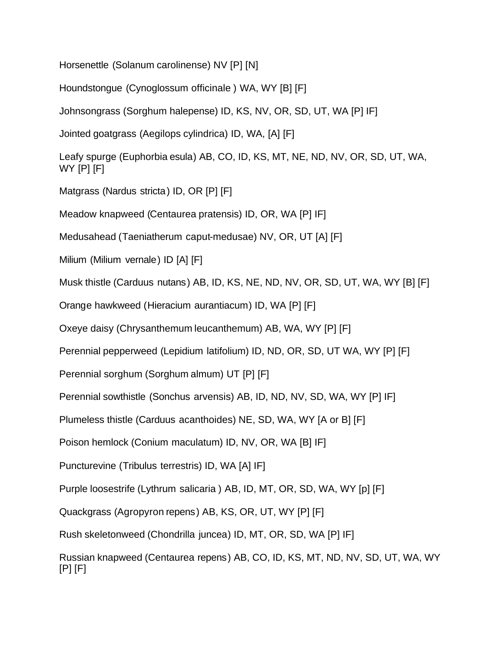Horsenettle (Solanum carolinense) NV [P] [N]

Houndstongue (Cynoglossum officinale ) WA, WY [B] [F]

Johnsongrass (Sorghum halepense) ID, KS, NV, OR, SD, UT, WA [P] IF]

Jointed goatgrass (Aegilops cylindrica) ID, WA, [A] [F]

Leafy spurge (Euphorbia esula) AB, CO, ID, KS, MT, NE, ND, NV, OR, SD, UT, WA, WY [P] [F]

Matgrass (Nardus stricta) ID, OR [P] [F]

Meadow knapweed (Centaurea pratensis) ID, OR, WA [P] IF]

Medusahead (Taeniatherum caput-medusae) NV, OR, UT [A] [F]

Milium (Milium vernale) ID [A] [F]

Musk thistle (Carduus nutans) AB, ID, KS, NE, ND, NV, OR, SD, UT, WA, WY [B] [F]

Orange hawkweed (Hieracium aurantiacum) ID, WA [P] [F]

Oxeye daisy (Chrysanthemum leucanthemum) AB, WA, WY [P] [F]

Perennial pepperweed (Lepidium latifolium) ID, ND, OR, SD, UT WA, WY [P] [F]

Perennial sorghum (Sorghum almum) UT [P] [F]

Perennial sowthistle (Sonchus arvensis) AB, ID, ND, NV, SD, WA, WY [P] IF]

Plumeless thistle (Carduus acanthoides) NE, SD, WA, WY [A or B] [F]

Poison hemlock (Conium maculatum) ID, NV, OR, WA [B] IF]

Puncturevine (Tribulus terrestris) ID, WA [A] IF]

Purple loosestrife (Lythrum salicaria) AB, ID, MT, OR, SD, WA, WY [p] [F]

Quackgrass (Agropyron repens) AB, KS, OR, UT, WY [P] [F]

Rush skeletonweed (Chondrilla juncea) ID, MT, OR, SD, WA [P] IF]

Russian knapweed (Centaurea repens) AB, CO, ID, KS, MT, ND, NV, SD, UT, WA, WY [P] [F]